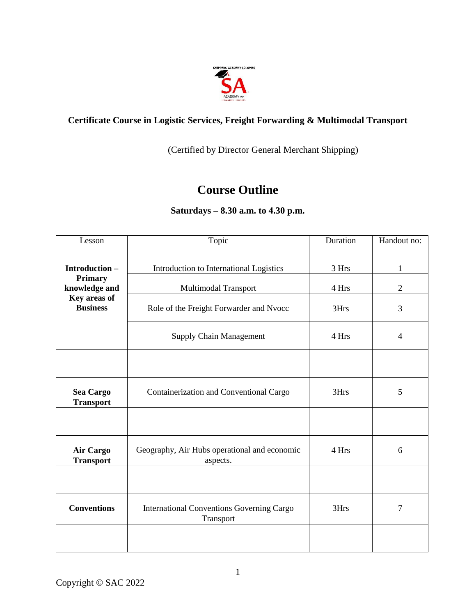

## **Certificate Course in Logistic Services, Freight Forwarding & Multimodal Transport**

(Certified by Director General Merchant Shipping)

## **Course Outline**

## **Saturdays – 8.30 a.m. to 4.30 p.m.**

| Lesson                                                      | Topic                                                         | Duration | Handout no:    |
|-------------------------------------------------------------|---------------------------------------------------------------|----------|----------------|
| Introduction-                                               | Introduction to International Logistics                       | 3 Hrs    | $\mathbf{1}$   |
| Primary<br>knowledge and<br>Key areas of<br><b>Business</b> | Multimodal Transport                                          | 4 Hrs    | $\overline{2}$ |
|                                                             | Role of the Freight Forwarder and Nvocc                       | 3Hrs     | 3              |
|                                                             | <b>Supply Chain Management</b>                                | 4 Hrs    | 4              |
|                                                             |                                                               |          |                |
| Sea Cargo<br><b>Transport</b>                               | Containerization and Conventional Cargo                       | 3Hrs     | 5              |
|                                                             |                                                               |          |                |
| <b>Air Cargo</b><br><b>Transport</b>                        | Geography, Air Hubs operational and economic<br>aspects.      | 4 Hrs    | 6              |
|                                                             |                                                               |          |                |
| <b>Conventions</b>                                          | <b>International Conventions Governing Cargo</b><br>Transport | 3Hrs     | 7              |
|                                                             |                                                               |          |                |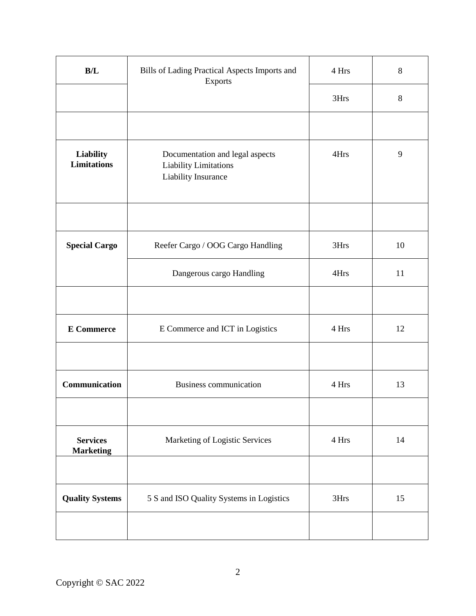| B/L                                 | Bills of Lading Practical Aspects Imports and<br>Exports                        | 4 Hrs | 8  |
|-------------------------------------|---------------------------------------------------------------------------------|-------|----|
|                                     |                                                                                 | 3Hrs  | 8  |
|                                     |                                                                                 |       |    |
| Liability<br><b>Limitations</b>     | Documentation and legal aspects<br>Liability Limitations<br>Liability Insurance | 4Hrs  | 9  |
|                                     |                                                                                 |       |    |
| <b>Special Cargo</b>                | Reefer Cargo / OOG Cargo Handling                                               | 3Hrs  | 10 |
|                                     | Dangerous cargo Handling                                                        | 4Hrs  | 11 |
|                                     |                                                                                 |       |    |
| <b>E</b> Commerce                   | E Commerce and ICT in Logistics                                                 | 4 Hrs | 12 |
|                                     |                                                                                 |       |    |
| Communication                       | Business communication                                                          | 4 Hrs | 13 |
|                                     |                                                                                 |       |    |
| <b>Services</b><br><b>Marketing</b> | Marketing of Logistic Services                                                  | 4 Hrs | 14 |
|                                     |                                                                                 |       |    |
| <b>Quality Systems</b>              | 5 S and ISO Quality Systems in Logistics                                        | 3Hrs  | 15 |
|                                     |                                                                                 |       |    |